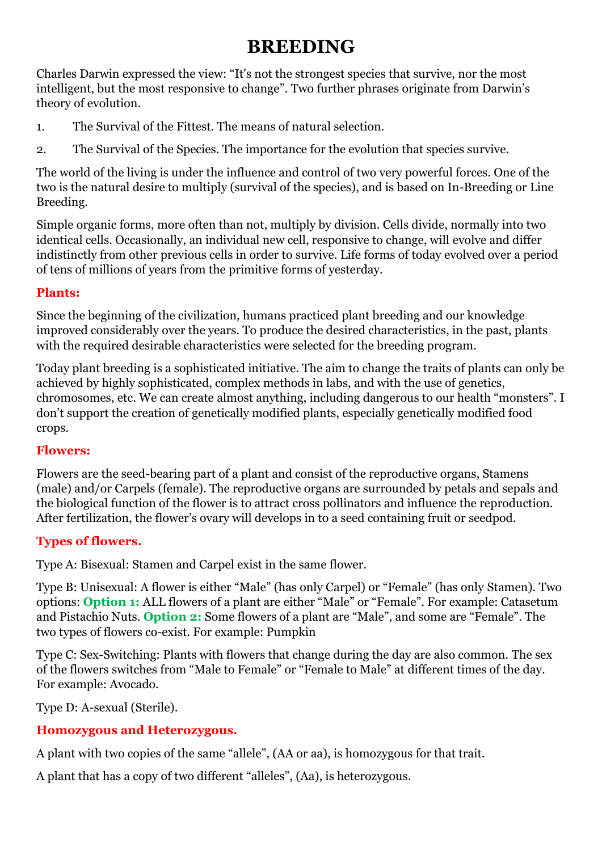# **BREEDING**

Charles Darwin expressed the view: "It's not the strongest species that survive, nor the most intelligent, but the most responsive to change". Two further phrases originate from Darwin's theory of evolution.

- 1. The Survival of the Fittest. The means of natural selection.
- 2. The Survival of the Species. The importance for the evolution that species survive.

The world of the living is under the influence and control of two very powerful forces. One of the two is the natural desire to multiply (survival of the species), and is based on In-Breeding or Line Breeding.

Simple organic forms, more often than not, multiply by division. Cells divide, normally into two identical cells. Occasionally, an individual new cell, responsive to change, will evolve and differ indistinctly from other previous cells in order to survive. Life forms of today evolved over a period of tens of millions of years from the primitive forms of yesterday.

#### **Plants:**

Since the beginning of the civilization, humans practiced plant breeding and our knowledge improved considerably over the years. To produce the desired characteristics, in the past, plants with the required desirable characteristics were selected for the breeding program.

Today plant breeding is a sophisticated initiative. The aim to change the traits of plants can only be achieved by highly sophisticated, complex methods in labs, and with the use of genetics, chromosomes, etc. We can create almost anything, including dangerous to our health "monsters". I don't support the creation of genetically modified plants, especially genetically modified food crops.

#### **Flowers:**

Flowers are the seed-bearing part of a plant and consist of the reproductive organs, Stamens (male) and/or Carpels (female). The reproductive organs are surrounded by petals and sepals and the biological function of the flower is to attract cross pollinators and influence the reproduction. After fertilization, the flower's ovary will develops in to a seed containing fruit or seedpod.

## **Types of flowers.**

Type A: Bisexual: Stamen and Carpel exist in the same flower.

Type B: Unisexual: A flower is either "Male" (has only Carpel) or "Female" (has only Stamen). Two options: **Option 1:** ALL flowers of a plant are either "Male" or "Female". For example: Catasetum and Pistachio Nuts. **Option 2:** Some flowers of a plant are "Male", and some are "Female". The two types of flowers co-exist. For example: Pumpkin

Type C: Sex-Switching: Plants with flowers that change during the day are also common. The sex of the flowers switches from "Male to Female" or "Female to Male" at different times of the day. For example: Avocado.

Type D: A-sexual (Sterile).

## **Homozygous and Heterozygous.**

A plant with two copies of the same "allele", (AA or aa), is homozygous for that trait.

A plant that has a copy of two different "alleles", (Aa), is heterozygous.